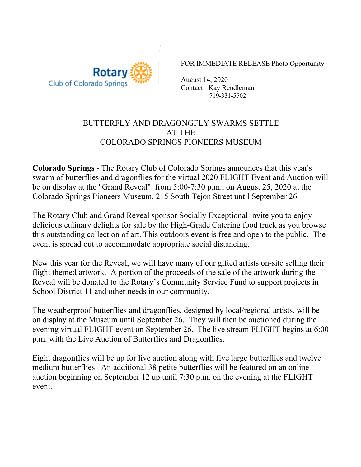

FOR IMMEDIATE RELEASE Photo Opportunity

– August 14, 2020 Contact: Kay Rendleman 719-331-5502

## BUTTERFLY AND DRAGONGFLY SWARMS SETTLE AT THE COLORADO SPRINGS PIONEERS MUSEUM

**Colorado Springs** - The Rotary Club of Colorado Springs announces that this year's swarm of butterflies and dragonflies for the virtual 2020 FLIGHT Event and Auction will be on display at the "Grand Reveal" from 5:00-7:30 p.m., on August 25, 2020 at the Colorado Springs Pioneers Museum, 215 South Tejon Street until September 26.

The Rotary Club and Grand Reveal sponsor Socially Exceptional invite you to enjoy delicious culinary delights for sale by the High-Grade Catering food truck as you browse this outstanding collection of art. This outdoors event is free and open to the public. The event is spread out to accommodate appropriate social distancing.

New this year for the Reveal, we will have many of our gifted artists on-site selling their flight themed artwork. A portion of the proceeds of the sale of the artwork during the Reveal will be donated to the Rotary's Community Service Fund to support projects in School District 11 and other needs in our community.

The weatherproof butterflies and dragonflies, designed by local/regional artists, will be on display at the Museum until September 26. They will then be auctioned during the evening virtual FLIGHT event on September 26. The live stream FLIGHT begins at 6:00 p.m. with the Live Auction of Butterflies and Dragonflies.

Eight dragonflies will be up for live auction along with five large butterflies and twelve medium butterflies. An additional 38 petite butterflies will be featured on an online auction beginning on September 12 up until 7:30 p.m. on the evening at the FLIGHT event.